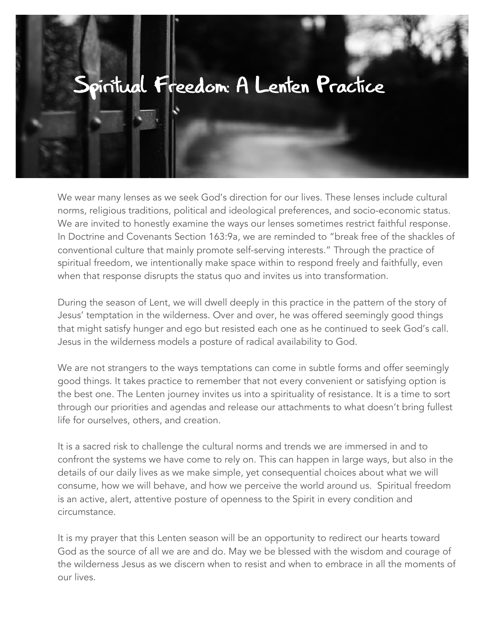## Spiritual Freedom: A Lenten Practice

We wear many lenses as we seek God's direction for our lives. These lenses include cultural norms, religious traditions, political and ideological preferences, and socio-economic status. We are invited to honestly examine the ways our lenses sometimes restrict faithful response. In Doctrine and Covenants Section 163:9a, we are reminded to "break free of the shackles of conventional culture that mainly promote self-serving interests." Through the practice of spiritual freedom, we intentionally make space within to respond freely and faithfully, even when that response disrupts the status quo and invites us into transformation.

During the season of Lent, we will dwell deeply in this practice in the pattern of the story of Jesus' temptation in the wilderness. Over and over, he was offered seemingly good things that might satisfy hunger and ego but resisted each one as he continued to seek God's call. Jesus in the wilderness models a posture of radical availability to God.

We are not strangers to the ways temptations can come in subtle forms and offer seemingly good things. It takes practice to remember that not every convenient or satisfying option is the best one. The Lenten journey invites us into a spirituality of resistance. It is a time to sort through our priorities and agendas and release our attachments to what doesn't bring fullest life for ourselves, others, and creation.

It is a sacred risk to challenge the cultural norms and trends we are immersed in and to confront the systems we have come to rely on. This can happen in large ways, but also in the details of our daily lives as we make simple, yet consequential choices about what we will consume, how we will behave, and how we perceive the world around us. Spiritual freedom is an active, alert, attentive posture of openness to the Spirit in every condition and circumstance.

It is my prayer that this Lenten season will be an opportunity to redirect our hearts toward God as the source of all we are and do. May we be blessed with the wisdom and courage of the wilderness Jesus as we discern when to resist and when to embrace in all the moments of our lives.